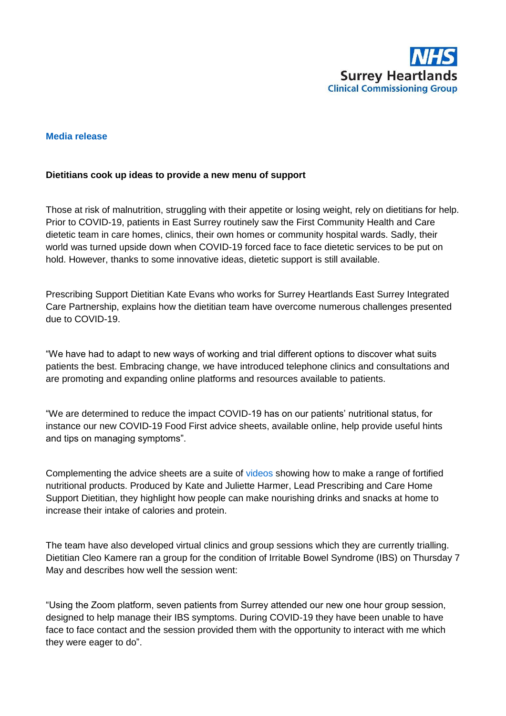

## **Media release**

## **Dietitians cook up ideas to provide a new menu of support**

Those at risk of malnutrition, struggling with their appetite or losing weight, rely on dietitians for help. Prior to COVID-19, patients in East Surrey routinely saw the First Community Health and Care dietetic team in care homes, clinics, their own homes or community hospital wards. Sadly, their world was turned upside down when COVID-19 forced face to face dietetic services to be put on hold. However, thanks to some innovative ideas, dietetic support is still available.

Prescribing Support Dietitian Kate Evans who works for Surrey Heartlands East Surrey Integrated Care Partnership, explains how the dietitian team have overcome numerous challenges presented due to COVID-19.

"We have had to adapt to new ways of working and trial different options to discover what suits patients the best. Embracing change, we have introduced telephone clinics and consultations and are promoting and expanding online platforms and resources available to patients.

"We are determined to reduce the impact COVID-19 has on our patients' nutritional status, for instance our new COVID-19 Food First advice sheets, available online, help provide useful hints and tips on managing symptoms".

Complementing the advice sheets are a suite of [videos](https://www.firstcommunityhealthcare.co.uk/what-we-do/community-and-outpatient-services/dietetics/general-nutritional-advice) showing how to make a range of fortified nutritional products. Produced by Kate and Juliette Harmer, Lead Prescribing and Care Home Support Dietitian, they highlight how people can make nourishing drinks and snacks at home to increase their intake of calories and protein.

The team have also developed virtual clinics and group sessions which they are currently trialling. Dietitian Cleo Kamere ran a group for the condition of Irritable Bowel Syndrome (IBS) on Thursday 7 May and describes how well the session went:

"Using the Zoom platform, seven patients from Surrey attended our new one hour group session, designed to help manage their IBS symptoms. During COVID-19 they have been unable to have face to face contact and the session provided them with the opportunity to interact with me which they were eager to do".